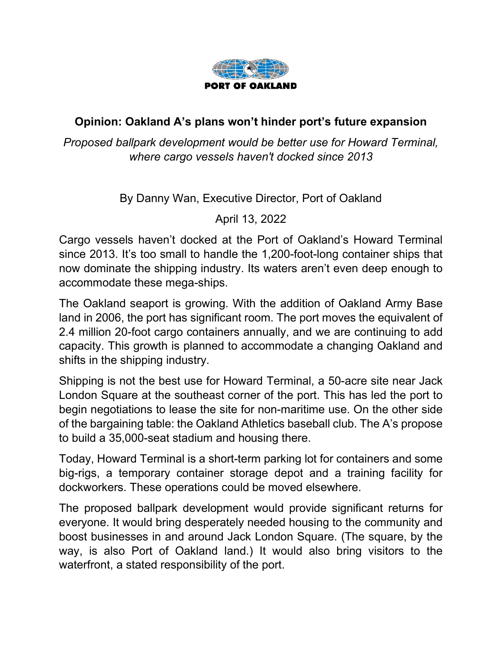

## **Opinion: Oakland A's plans won't hinder port's future expansion**

*Proposed ballpark development would be better use for Howard Terminal, where cargo vessels haven't docked since 2013*

By Danny Wan, Executive Director, Port of Oakland

April 13, 2022

Cargo vessels haven't docked at the Port of Oakland's Howard Terminal since 2013. It's too small to handle the 1,200-foot-long container ships that now dominate the shipping industry. Its waters aren't even deep enough to accommodate these mega-ships.

The Oakland seaport is growing. With the addition of Oakland Army Base land in 2006, the port has significant room. The port moves the equivalent of 2.4 million 20-foot cargo containers annually, and we are continuing to add capacity. This growth is planned to accommodate a changing Oakland and shifts in the shipping industry.

Shipping is not the best use for Howard Terminal, a 50-acre site near Jack London Square at the southeast corner of the port. This has led the port to begin negotiations to lease the site for non-maritime use. On the other side of the bargaining table: the Oakland Athletics baseball club. The A's propose to build a 35,000-seat stadium and housing there.

Today, Howard Terminal is a short-term parking lot for containers and some big-rigs, a temporary container storage depot and a training facility for dockworkers. These operations could be moved elsewhere.

The proposed ballpark development would provide significant returns for everyone. It would bring desperately needed housing to the community and boost businesses in and around Jack London Square. (The square, by the way, is also Port of Oakland land.) It would also bring visitors to the waterfront, a stated responsibility of the port.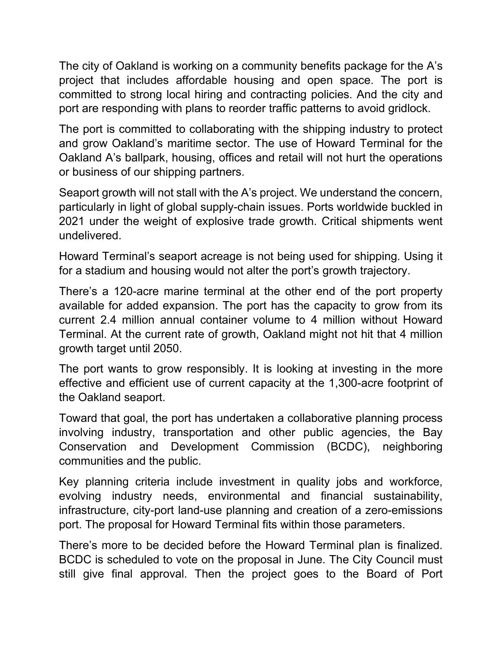The city of Oakland is working on a community benefits package for the A's project that includes affordable housing and open space. The port is committed to strong local hiring and contracting policies. And the city and port are responding with plans to reorder traffic patterns to avoid gridlock.

The port is committed to collaborating with the shipping industry to protect and grow Oakland's maritime sector. The use of Howard Terminal for the Oakland A's ballpark, housing, offices and retail will not hurt the operations or business of our shipping partners.

Seaport growth will not stall with the A's project. We understand the concern, particularly in light of global supply-chain issues. Ports worldwide buckled in 2021 under the weight of explosive trade growth. Critical shipments went undelivered.

Howard Terminal's seaport acreage is not being used for shipping. Using it for a stadium and housing would not alter the port's growth trajectory.

There's a 120-acre marine terminal at the other end of the port property available for added expansion. The port has the capacity to grow from its current 2.4 million annual container volume to 4 million without Howard Terminal. At the current rate of growth, Oakland might not hit that 4 million growth target until 2050.

The port wants to grow responsibly. It is looking at investing in the more effective and efficient use of current capacity at the 1,300-acre footprint of the Oakland seaport.

Toward that goal, the port has undertaken a collaborative planning process involving industry, transportation and other public agencies, the Bay Conservation and Development Commission (BCDC), neighboring communities and the public.

Key planning criteria include investment in quality jobs and workforce, evolving industry needs, environmental and financial sustainability, infrastructure, city-port land-use planning and creation of a zero-emissions port. The proposal for Howard Terminal fits within those parameters.

There's more to be decided before the Howard Terminal plan is finalized. BCDC is scheduled to vote on the proposal in June. The City Council must still give final approval. Then the project goes to the Board of Port